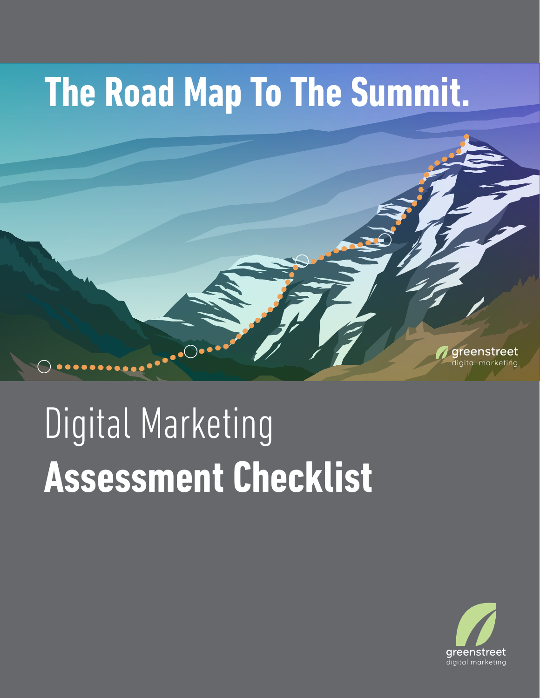## **The Road Map To The Summit.**



## Digital Marketing **Assessment Checklist**

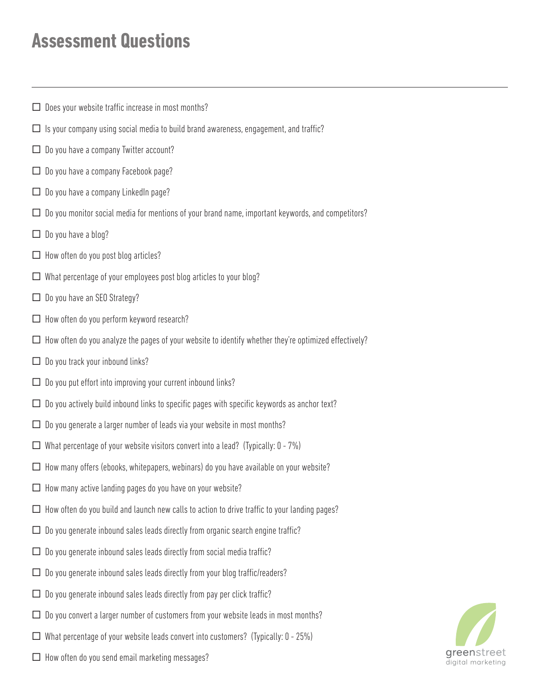## **Assessment Questions**

- $\square$  Does your website traffic increase in most months?
- $\Box$  Is your company using social media to build brand awareness, engagement, and traffic?
- $\Box$  Do you have a company Twitter account?
- $\Box$  Do you have a company Facebook page?
- $\Box$  Do you have a company LinkedIn page?
- $\square$  Do you monitor social media for mentions of your brand name, important keywords, and competitors?
- $\Box$  Do you have a blog?
- $\Box$  How often do you post blog articles?
- $\square$  What percentage of your employees post blog articles to your blog?
- $\Box$  Do you have an SEO Strategy?
- $\Box$  How often do you perform keyword research?
- $\Box$  How often do you analyze the pages of your website to identify whether they're optimized effectively?
- $\Box$  Do you track your inbound links?
- $\square$  Do you put effort into improving your current inbound links?
- $\square$  Do you actively build inbound links to specific pages with specific keywords as anchor text?
- $\Box$  Do you generate a larger number of leads via your website in most months?
- $\Box$  What percentage of your website visitors convert into a lead? (Typically: 0 7%)
- $\Box$  How many offers (ebooks, whitepapers, webinars) do you have available on your website?
- $\Box$  How many active landing pages do you have on your website?
- $\Box$  How often do you build and launch new calls to action to drive traffic to your landing pages?
- $\Box$  Do you generate inbound sales leads directly from organic search engine traffic?
- $\Box$  Do you generate inbound sales leads directly from social media traffic?
- $\Box$  Do you generate inbound sales leads directly from your blog traffic/readers?
- $\square$  Do you generate inbound sales leads directly from pay per click traffic?
- $\Box$  Do you convert a larger number of customers from your website leads in most months?
- $\Box$  What percentage of your website leads convert into customers? (Typically: 0 25%)
- □ How often do you send email marketing messages? digital marketing messages?